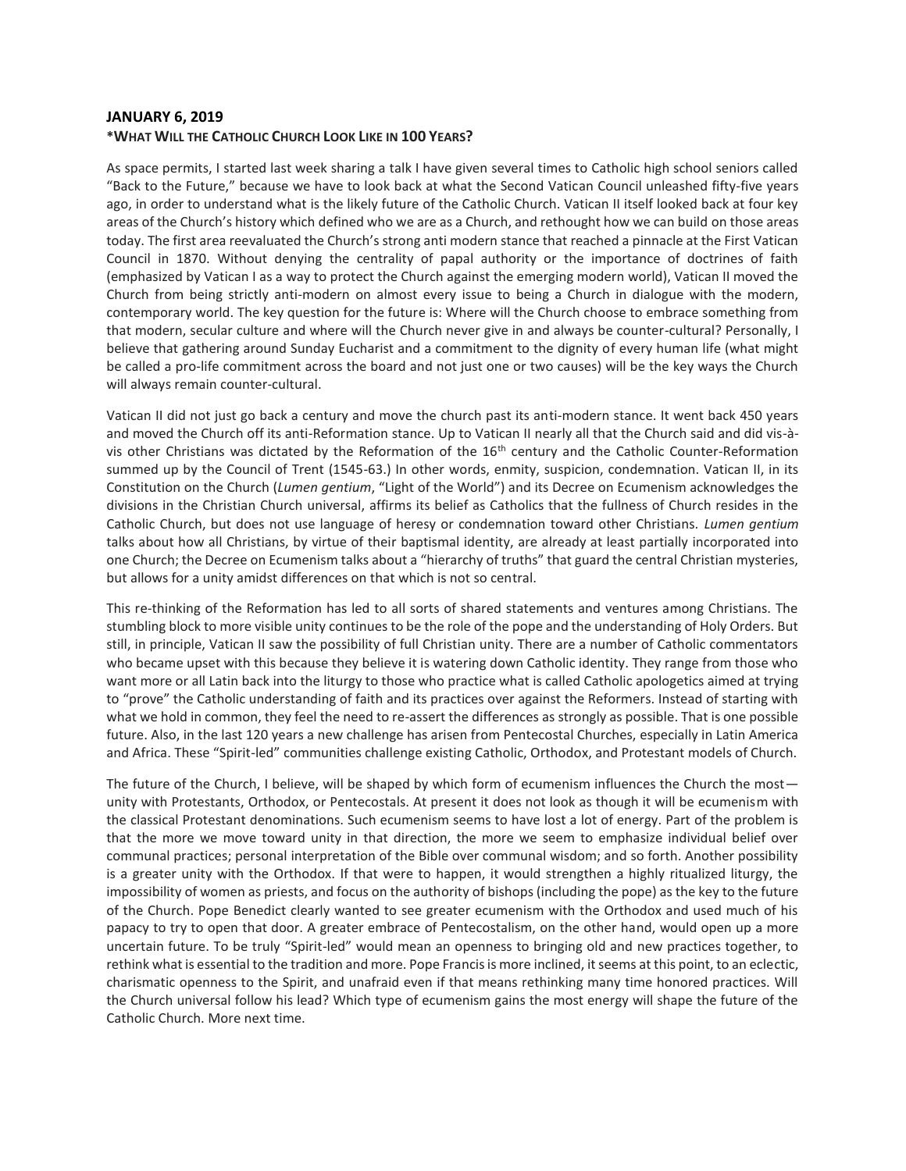### **JANUARY 6, 2019 \*WHAT WILL THE CATHOLIC CHURCH LOOK LIKE IN 100 YEARS?**

As space permits, I started last week sharing a talk I have given several times to Catholic high school seniors called "Back to the Future," because we have to look back at what the Second Vatican Council unleashed fifty-five years ago, in order to understand what is the likely future of the Catholic Church. Vatican II itself looked back at four key areas of the Church's history which defined who we are as a Church, and rethought how we can build on those areas today. The first area reevaluated the Church's strong anti modern stance that reached a pinnacle at the First Vatican Council in 1870. Without denying the centrality of papal authority or the importance of doctrines of faith (emphasized by Vatican I as a way to protect the Church against the emerging modern world), Vatican II moved the Church from being strictly anti-modern on almost every issue to being a Church in dialogue with the modern, contemporary world. The key question for the future is: Where will the Church choose to embrace something from that modern, secular culture and where will the Church never give in and always be counter-cultural? Personally, I believe that gathering around Sunday Eucharist and a commitment to the dignity of every human life (what might be called a pro-life commitment across the board and not just one or two causes) will be the key ways the Church will always remain counter-cultural.

Vatican II did not just go back a century and move the church past its anti-modern stance. It went back 450 years and moved the Church off its anti-Reformation stance. Up to Vatican II nearly all that the Church said and did vis-àvis other Christians was dictated by the Reformation of the 16<sup>th</sup> century and the Catholic Counter-Reformation summed up by the Council of Trent (1545-63.) In other words, enmity, suspicion, condemnation. Vatican II, in its Constitution on the Church (*Lumen gentium*, "Light of the World") and its Decree on Ecumenism acknowledges the divisions in the Christian Church universal, affirms its belief as Catholics that the fullness of Church resides in the Catholic Church, but does not use language of heresy or condemnation toward other Christians. *Lumen gentium* talks about how all Christians, by virtue of their baptismal identity, are already at least partially incorporated into one Church; the Decree on Ecumenism talks about a "hierarchy of truths" that guard the central Christian mysteries, but allows for a unity amidst differences on that which is not so central.

This re-thinking of the Reformation has led to all sorts of shared statements and ventures among Christians. The stumbling block to more visible unity continues to be the role of the pope and the understanding of Holy Orders. But still, in principle, Vatican II saw the possibility of full Christian unity. There are a number of Catholic commentators who became upset with this because they believe it is watering down Catholic identity. They range from those who want more or all Latin back into the liturgy to those who practice what is called Catholic apologetics aimed at trying to "prove" the Catholic understanding of faith and its practices over against the Reformers. Instead of starting with what we hold in common, they feel the need to re-assert the differences as strongly as possible. That is one possible future. Also, in the last 120 years a new challenge has arisen from Pentecostal Churches, especially in Latin America and Africa. These "Spirit-led" communities challenge existing Catholic, Orthodox, and Protestant models of Church.

The future of the Church, I believe, will be shaped by which form of ecumenism influences the Church the most unity with Protestants, Orthodox, or Pentecostals. At present it does not look as though it will be ecumenism with the classical Protestant denominations. Such ecumenism seems to have lost a lot of energy. Part of the problem is that the more we move toward unity in that direction, the more we seem to emphasize individual belief over communal practices; personal interpretation of the Bible over communal wisdom; and so forth. Another possibility is a greater unity with the Orthodox. If that were to happen, it would strengthen a highly ritualized liturgy, the impossibility of women as priests, and focus on the authority of bishops (including the pope) as the key to the future of the Church. Pope Benedict clearly wanted to see greater ecumenism with the Orthodox and used much of his papacy to try to open that door. A greater embrace of Pentecostalism, on the other hand, would open up a more uncertain future. To be truly "Spirit-led" would mean an openness to bringing old and new practices together, to rethink what is essential to the tradition and more. Pope Francis is more inclined, it seems at this point, to an eclectic, charismatic openness to the Spirit, and unafraid even if that means rethinking many time honored practices. Will the Church universal follow his lead? Which type of ecumenism gains the most energy will shape the future of the Catholic Church. More next time.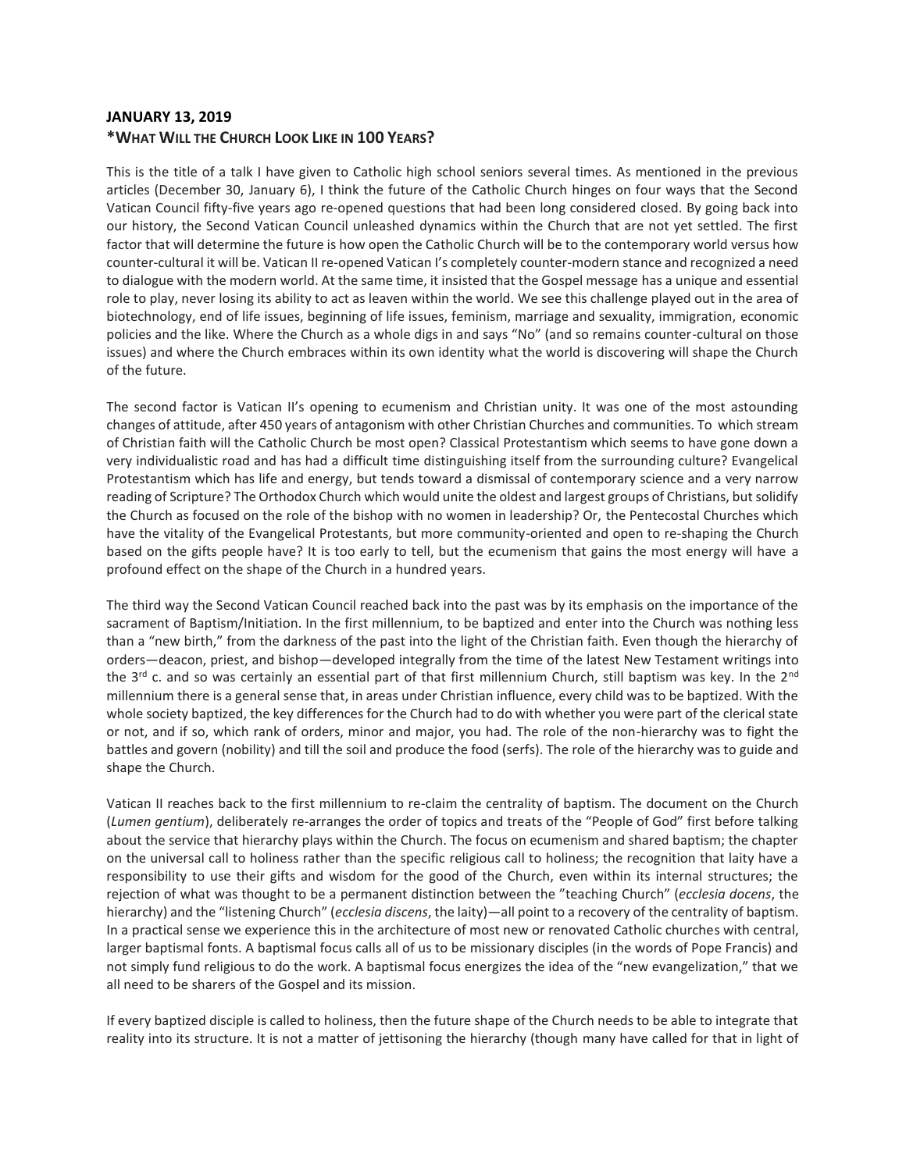# **JANUARY 13, 2019 \*WHAT WILL THE CHURCH LOOK LIKE IN 100 YEARS?**

This is the title of a talk I have given to Catholic high school seniors several times. As mentioned in the previous articles (December 30, January 6), I think the future of the Catholic Church hinges on four ways that the Second Vatican Council fifty-five years ago re-opened questions that had been long considered closed. By going back into our history, the Second Vatican Council unleashed dynamics within the Church that are not yet settled. The first factor that will determine the future is how open the Catholic Church will be to the contemporary world versus how counter-cultural it will be. Vatican II re-opened Vatican I's completely counter-modern stance and recognized a need to dialogue with the modern world. At the same time, it insisted that the Gospel message has a unique and essential role to play, never losing its ability to act as leaven within the world. We see this challenge played out in the area of biotechnology, end of life issues, beginning of life issues, feminism, marriage and sexuality, immigration, economic policies and the like. Where the Church as a whole digs in and says "No" (and so remains counter-cultural on those issues) and where the Church embraces within its own identity what the world is discovering will shape the Church of the future.

The second factor is Vatican II's opening to ecumenism and Christian unity. It was one of the most astounding changes of attitude, after 450 years of antagonism with other Christian Churches and communities. To which stream of Christian faith will the Catholic Church be most open? Classical Protestantism which seems to have gone down a very individualistic road and has had a difficult time distinguishing itself from the surrounding culture? Evangelical Protestantism which has life and energy, but tends toward a dismissal of contemporary science and a very narrow reading of Scripture? The Orthodox Church which would unite the oldest and largest groups of Christians, but solidify the Church as focused on the role of the bishop with no women in leadership? Or, the Pentecostal Churches which have the vitality of the Evangelical Protestants, but more community-oriented and open to re-shaping the Church based on the gifts people have? It is too early to tell, but the ecumenism that gains the most energy will have a profound effect on the shape of the Church in a hundred years.

The third way the Second Vatican Council reached back into the past was by its emphasis on the importance of the sacrament of Baptism/Initiation. In the first millennium, to be baptized and enter into the Church was nothing less than a "new birth," from the darkness of the past into the light of the Christian faith. Even though the hierarchy of orders—deacon, priest, and bishop—developed integrally from the time of the latest New Testament writings into the 3<sup>rd</sup> c. and so was certainly an essential part of that first millennium Church, still baptism was key. In the 2<sup>nd</sup> millennium there is a general sense that, in areas under Christian influence, every child was to be baptized. With the whole society baptized, the key differences for the Church had to do with whether you were part of the clerical state or not, and if so, which rank of orders, minor and major, you had. The role of the non-hierarchy was to fight the battles and govern (nobility) and till the soil and produce the food (serfs). The role of the hierarchy was to guide and shape the Church.

Vatican II reaches back to the first millennium to re-claim the centrality of baptism. The document on the Church (*Lumen gentium*), deliberately re-arranges the order of topics and treats of the "People of God" first before talking about the service that hierarchy plays within the Church. The focus on ecumenism and shared baptism; the chapter on the universal call to holiness rather than the specific religious call to holiness; the recognition that laity have a responsibility to use their gifts and wisdom for the good of the Church, even within its internal structures; the rejection of what was thought to be a permanent distinction between the "teaching Church" (*ecclesia docens*, the hierarchy) and the "listening Church" (*ecclesia discens*, the laity)—all point to a recovery of the centrality of baptism. In a practical sense we experience this in the architecture of most new or renovated Catholic churches with central, larger baptismal fonts. A baptismal focus calls all of us to be missionary disciples (in the words of Pope Francis) and not simply fund religious to do the work. A baptismal focus energizes the idea of the "new evangelization," that we all need to be sharers of the Gospel and its mission.

If every baptized disciple is called to holiness, then the future shape of the Church needs to be able to integrate that reality into its structure. It is not a matter of jettisoning the hierarchy (though many have called for that in light of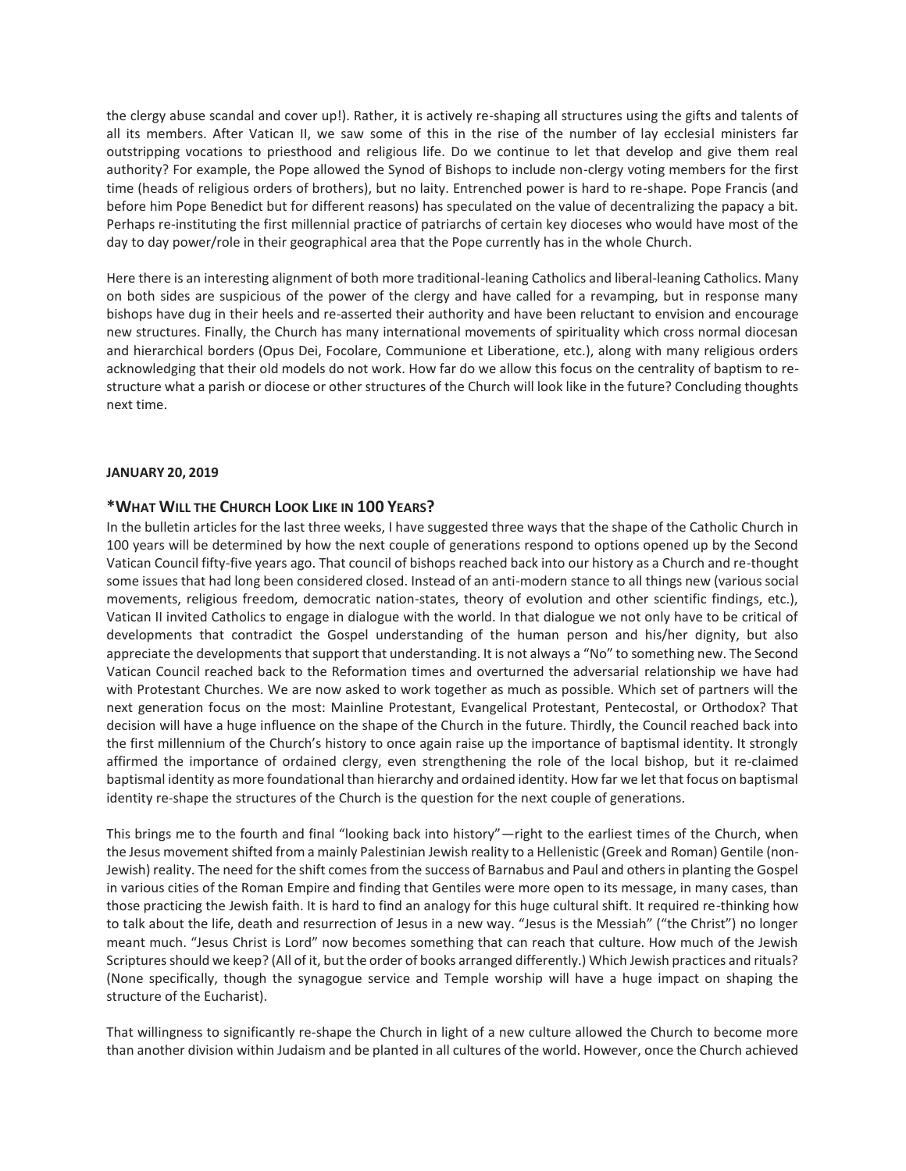the clergy abuse scandal and cover up!). Rather, it is actively re-shaping all structures using the gifts and talents of all its members. After Vatican II, we saw some of this in the rise of the number of lay ecclesial ministers far outstripping vocations to priesthood and religious life. Do we continue to let that develop and give them real authority? For example, the Pope allowed the Synod of Bishops to include non-clergy voting members for the first time (heads of religious orders of brothers), but no laity. Entrenched power is hard to re-shape. Pope Francis (and before him Pope Benedict but for different reasons) has speculated on the value of decentralizing the papacy a bit. Perhaps re-instituting the first millennial practice of patriarchs of certain key dioceses who would have most of the day to day power/role in their geographical area that the Pope currently has in the whole Church.

Here there is an interesting alignment of both more traditional-leaning Catholics and liberal-leaning Catholics. Many on both sides are suspicious of the power of the clergy and have called for a revamping, but in response many bishops have dug in their heels and re-asserted their authority and have been reluctant to envision and encourage new structures. Finally, the Church has many international movements of spirituality which cross normal diocesan and hierarchical borders (Opus Dei, Focolare, Communione et Liberatione, etc.), along with many religious orders acknowledging that their old models do not work. How far do we allow this focus on the centrality of baptism to restructure what a parish or diocese or other structures of the Church will look like in the future? Concluding thoughts next time.

#### **JANUARY 20, 2019**

### **\*WHAT WILL THE CHURCH LOOK LIKE IN 100 YEARS?**

In the bulletin articles for the last three weeks, I have suggested three ways that the shape of the Catholic Church in 100 years will be determined by how the next couple of generations respond to options opened up by the Second Vatican Council fifty-five years ago. That council of bishops reached back into our history as a Church and re-thought some issues that had long been considered closed. Instead of an anti-modern stance to all things new (various social movements, religious freedom, democratic nation-states, theory of evolution and other scientific findings, etc.), Vatican II invited Catholics to engage in dialogue with the world. In that dialogue we not only have to be critical of developments that contradict the Gospel understanding of the human person and his/her dignity, but also appreciate the developments that support that understanding. It is not always a "No" to something new. The Second Vatican Council reached back to the Reformation times and overturned the adversarial relationship we have had with Protestant Churches. We are now asked to work together as much as possible. Which set of partners will the next generation focus on the most: Mainline Protestant, Evangelical Protestant, Pentecostal, or Orthodox? That decision will have a huge influence on the shape of the Church in the future. Thirdly, the Council reached back into the first millennium of the Church's history to once again raise up the importance of baptismal identity. It strongly affirmed the importance of ordained clergy, even strengthening the role of the local bishop, but it re-claimed baptismal identity as more foundational than hierarchy and ordained identity. How far we let that focus on baptismal identity re-shape the structures of the Church is the question for the next couple of generations.

This brings me to the fourth and final "looking back into history"—right to the earliest times of the Church, when the Jesus movement shifted from a mainly Palestinian Jewish reality to a Hellenistic (Greek and Roman) Gentile (non-Jewish) reality. The need for the shift comes from the success of Barnabus and Paul and others in planting the Gospel in various cities of the Roman Empire and finding that Gentiles were more open to its message, in many cases, than those practicing the Jewish faith. It is hard to find an analogy for this huge cultural shift. It required re-thinking how to talk about the life, death and resurrection of Jesus in a new way. "Jesus is the Messiah" ("the Christ") no longer meant much. "Jesus Christ is Lord" now becomes something that can reach that culture. How much of the Jewish Scriptures should we keep? (All of it, but the order of books arranged differently.) Which Jewish practices and rituals? (None specifically, though the synagogue service and Temple worship will have a huge impact on shaping the structure of the Eucharist).

That willingness to significantly re-shape the Church in light of a new culture allowed the Church to become more than another division within Judaism and be planted in all cultures of the world. However, once the Church achieved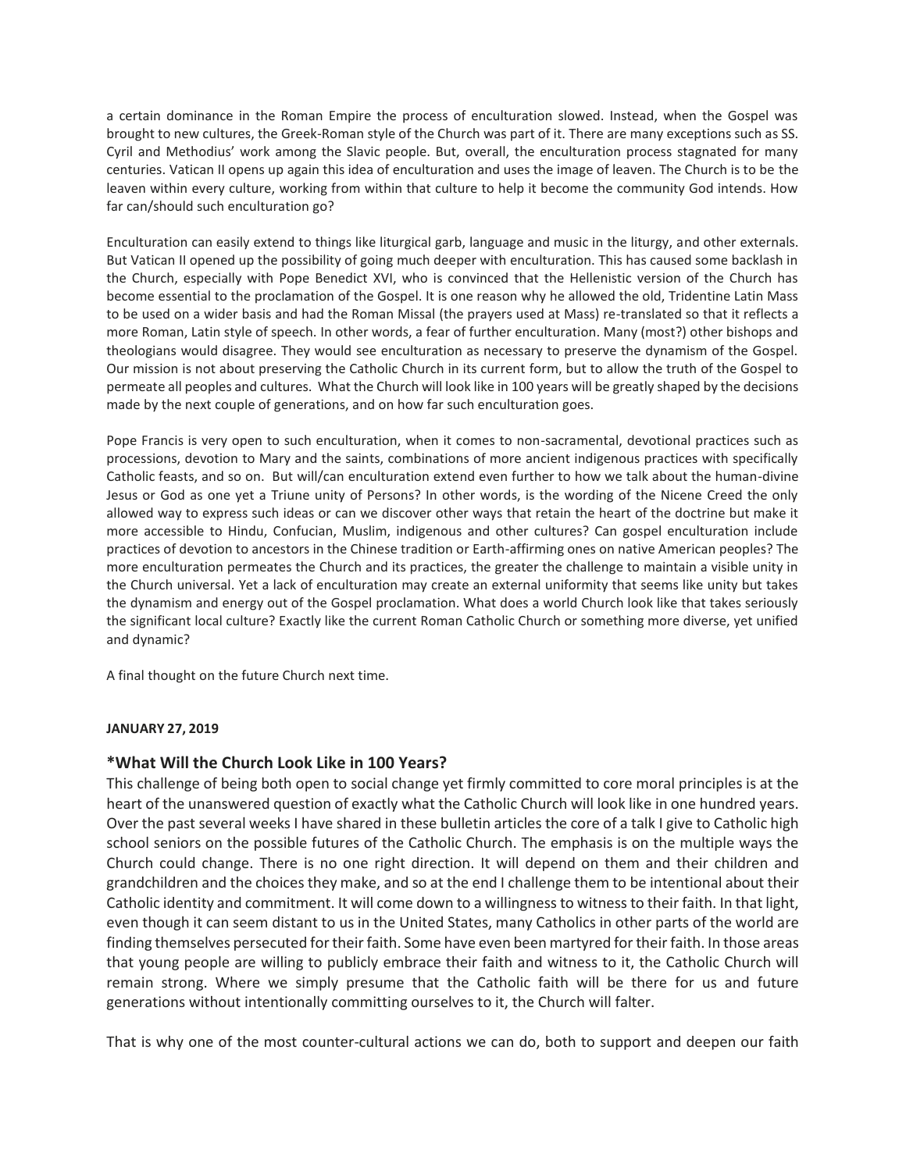a certain dominance in the Roman Empire the process of enculturation slowed. Instead, when the Gospel was brought to new cultures, the Greek-Roman style of the Church was part of it. There are many exceptions such as SS. Cyril and Methodius' work among the Slavic people. But, overall, the enculturation process stagnated for many centuries. Vatican II opens up again this idea of enculturation and uses the image of leaven. The Church is to be the leaven within every culture, working from within that culture to help it become the community God intends. How far can/should such enculturation go?

Enculturation can easily extend to things like liturgical garb, language and music in the liturgy, and other externals. But Vatican II opened up the possibility of going much deeper with enculturation. This has caused some backlash in the Church, especially with Pope Benedict XVI, who is convinced that the Hellenistic version of the Church has become essential to the proclamation of the Gospel. It is one reason why he allowed the old, Tridentine Latin Mass to be used on a wider basis and had the Roman Missal (the prayers used at Mass) re-translated so that it reflects a more Roman, Latin style of speech. In other words, a fear of further enculturation. Many (most?) other bishops and theologians would disagree. They would see enculturation as necessary to preserve the dynamism of the Gospel. Our mission is not about preserving the Catholic Church in its current form, but to allow the truth of the Gospel to permeate all peoples and cultures. What the Church will look like in 100 years will be greatly shaped by the decisions made by the next couple of generations, and on how far such enculturation goes.

Pope Francis is very open to such enculturation, when it comes to non-sacramental, devotional practices such as processions, devotion to Mary and the saints, combinations of more ancient indigenous practices with specifically Catholic feasts, and so on. But will/can enculturation extend even further to how we talk about the human-divine Jesus or God as one yet a Triune unity of Persons? In other words, is the wording of the Nicene Creed the only allowed way to express such ideas or can we discover other ways that retain the heart of the doctrine but make it more accessible to Hindu, Confucian, Muslim, indigenous and other cultures? Can gospel enculturation include practices of devotion to ancestors in the Chinese tradition or Earth-affirming ones on native American peoples? The more enculturation permeates the Church and its practices, the greater the challenge to maintain a visible unity in the Church universal. Yet a lack of enculturation may create an external uniformity that seems like unity but takes the dynamism and energy out of the Gospel proclamation. What does a world Church look like that takes seriously the significant local culture? Exactly like the current Roman Catholic Church or something more diverse, yet unified and dynamic?

A final thought on the future Church next time.

### **JANUARY 27, 2019**

### **\*What Will the Church Look Like in 100 Years?**

This challenge of being both open to social change yet firmly committed to core moral principles is at the heart of the unanswered question of exactly what the Catholic Church will look like in one hundred years. Over the past several weeks I have shared in these bulletin articles the core of a talk I give to Catholic high school seniors on the possible futures of the Catholic Church. The emphasis is on the multiple ways the Church could change. There is no one right direction. It will depend on them and their children and grandchildren and the choices they make, and so at the end I challenge them to be intentional about their Catholic identity and commitment. It will come down to a willingness to witness to their faith. In that light, even though it can seem distant to us in the United States, many Catholics in other parts of the world are finding themselves persecuted for their faith. Some have even been martyred for their faith. In those areas that young people are willing to publicly embrace their faith and witness to it, the Catholic Church will remain strong. Where we simply presume that the Catholic faith will be there for us and future generations without intentionally committing ourselves to it, the Church will falter.

That is why one of the most counter-cultural actions we can do, both to support and deepen our faith